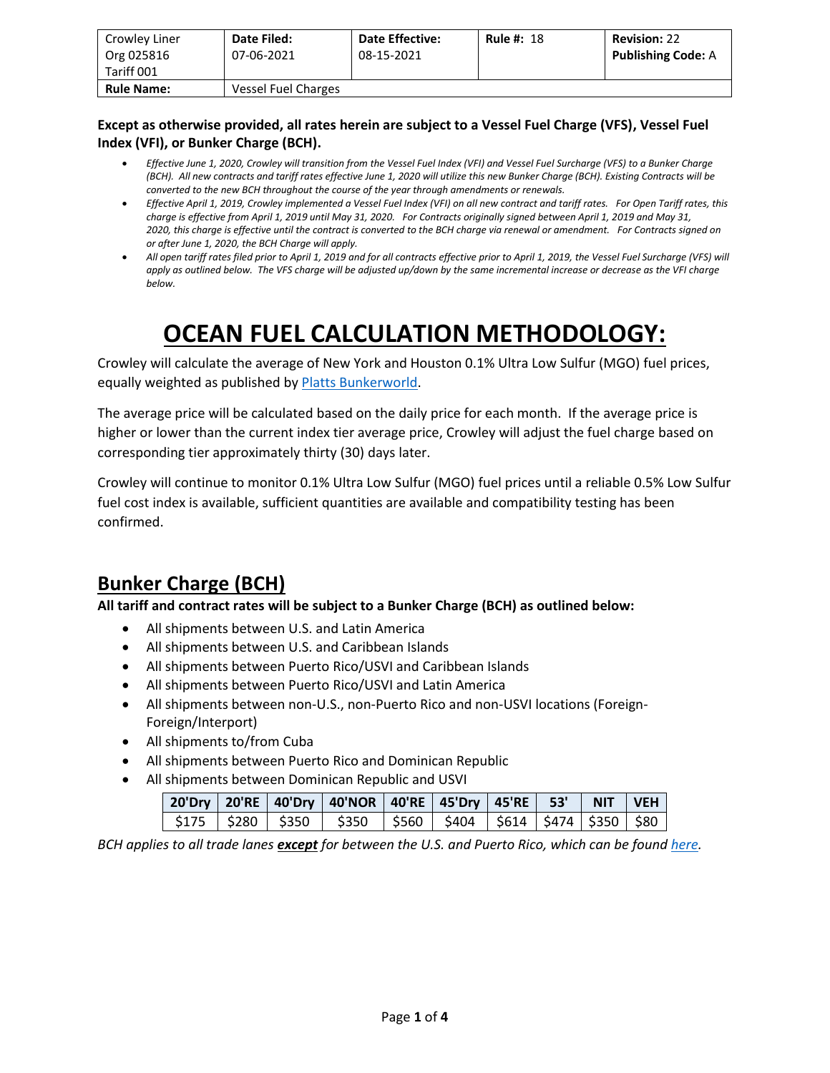| Crowley Liner<br>Org 025816<br>Tariff 001 | Date Filed:<br>07-06-2021 | <b>Date Effective:</b><br>08-15-2021 | <b>Rule #: 18</b> | <b>Revision: 22</b><br><b>Publishing Code: A</b> |
|-------------------------------------------|---------------------------|--------------------------------------|-------------------|--------------------------------------------------|
| <b>Rule Name:</b>                         | Vessel Fuel Charges       |                                      |                   |                                                  |

#### **Except as otherwise provided, all rates herein are subject to a Vessel Fuel Charge (VFS), Vessel Fuel Index (VFI), or Bunker Charge (BCH).**

- *Effective June 1, 2020, Crowley will transition from the Vessel Fuel Index (VFI) and Vessel Fuel Surcharge (VFS) to a Bunker Charge (BCH). All new contracts and tariff rates effective June 1, 2020 will utilize this new Bunker Charge (BCH). Existing Contracts will be converted to the new BCH throughout the course of the year through amendments or renewals.*
- *Effective April 1, 2019, Crowley implemented a Vessel Fuel Index (VFI) on all new contract and tariff rates. For Open Tariff rates, this charge is effective from April 1, 2019 until May 31, 2020. For Contracts originally signed between April 1, 2019 and May 31, 2020, this charge is effective until the contract is converted to the BCH charge via renewal or amendment. For Contracts signed on or after June 1, 2020, the BCH Charge will apply.*
- *All open tariff rates filed prior to April 1, 2019 and for all contracts effective prior to April 1, 2019, the Vessel Fuel Surcharge (VFS) will apply as outlined below. The VFS charge will be adjusted up/down by the same incremental increase or decrease as the VFI charge below.*

# **OCEAN FUEL CALCULATION METHODOLOGY:**

Crowley will calculate the average of New York and Houston 0.1% Ultra Low Sulfur (MGO) fuel prices, equally weighted as published b[y Platts Bunkerworld.](https://www.bunkerworld.com/)

The average price will be calculated based on the daily price for each month. If the average price is higher or lower than the current index tier average price, Crowley will adjust the fuel charge based on corresponding tier approximately thirty (30) days later.

Crowley will continue to monitor 0.1% Ultra Low Sulfur (MGO) fuel prices until a reliable 0.5% Low Sulfur fuel cost index is available, sufficient quantities are available and compatibility testing has been confirmed.

### **Bunker Charge (BCH)**

**All tariff and contract rates will be subject to a Bunker Charge (BCH) as outlined below:**

- All shipments between U.S. and Latin America
- All shipments between U.S. and Caribbean Islands
- All shipments between Puerto Rico/USVI and Caribbean Islands
- All shipments between Puerto Rico/USVI and Latin America
- All shipments between non-U.S., non-Puerto Rico and non-USVI locations (Foreign-Foreign/Interport)
- All shipments to/from Cuba
- All shipments between Puerto Rico and Dominican Republic
- All shipments between Dominican Republic and USVI

|  |  | 20'Dry   20'RE   40'Dry   40'NOR   40'RE   45'Dry   45'RE    53'     NIT    VEH <sub> </sub> |  |  |  |
|--|--|----------------------------------------------------------------------------------------------|--|--|--|
|  |  | \$175   \$280   \$350   \$350   \$560   \$404   \$614   \$474   \$350   \$80                 |  |  |  |

*BCH applies to all trade lanes except for between the U.S. and Puerto Rico, which can be found [here.](https://www.crowley.com/logistics/resources/rates-tariffs/stb/#18-1-vessel-fuel-surcharge-between-the-continental-us-and-puerto-rico)*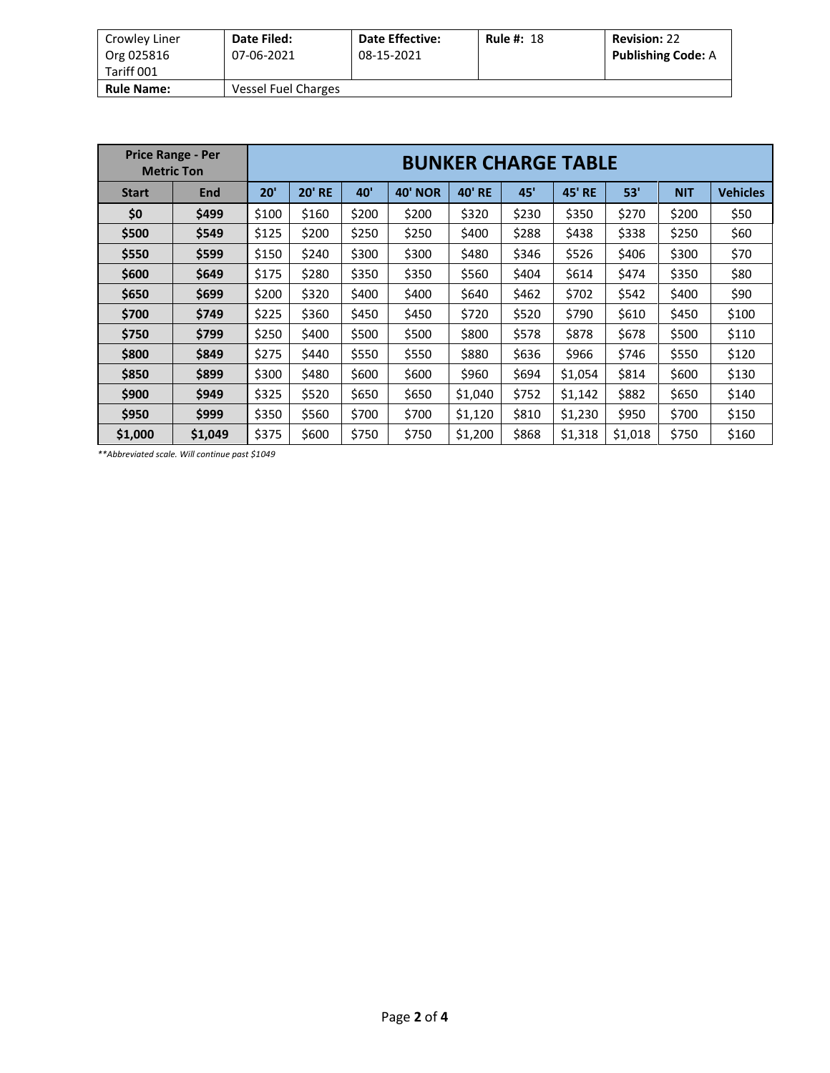| Crowley Liner<br>Org 025816 | Date Filed:<br>07-06-2021 | <b>Date Effective:</b><br>08-15-2021 | <b>Rule #: 18</b> | <b>Revision: 22</b><br><b>Publishing Code: A</b> |
|-----------------------------|---------------------------|--------------------------------------|-------------------|--------------------------------------------------|
| Tariff 001                  |                           |                                      |                   |                                                  |
| <b>Rule Name:</b>           | Vessel Fuel Charges       |                                      |                   |                                                  |

| <b>Price Range - Per</b><br><b>Metric Ton</b> |            | <b>BUNKER CHARGE TABLE</b> |               |       |                |               |       |                  |         |            |                 |  |
|-----------------------------------------------|------------|----------------------------|---------------|-------|----------------|---------------|-------|------------------|---------|------------|-----------------|--|
| <b>Start</b>                                  | <b>End</b> | 20'                        | <b>20' RE</b> |       | <b>40' NOR</b> | <b>40' RE</b> | 45'   | 45'<br><b>RE</b> | 53'     | <b>NIT</b> | <b>Vehicles</b> |  |
| \$0                                           | \$499      | \$100                      | \$160         | \$200 | \$200          | \$320         | \$230 | \$350            | \$270   | \$200      | \$50            |  |
| \$500                                         | \$549      | \$125<br>\$200             |               | \$250 | \$250          | \$400         | \$288 | \$438            | \$338   | \$250      | \$60            |  |
| \$550                                         | \$599      | \$150                      | \$240         | \$300 | \$300          | \$480         | \$346 | \$526            | \$406   | \$300      | \$70            |  |
| \$600                                         | \$649      | \$175                      | \$280         | \$350 | \$350          | \$560         | \$404 | \$614            | \$474   | \$350      | \$80            |  |
| \$650                                         | \$699      | \$200                      | \$320         | \$400 | \$400          | \$640         | \$462 | \$702            | \$542   | \$400      | \$90            |  |
| \$700                                         | \$749      | \$225                      | \$360         | \$450 | \$450          | \$720         | \$520 | \$790            | \$610   | \$450      | \$100           |  |
| \$750                                         | \$799      | \$250                      | \$400         | \$500 | \$500          | \$800         | \$578 | \$878            | \$678   | \$500      | \$110           |  |
| \$800                                         | \$849      | \$275                      | \$440         | \$550 | \$550          | \$880         | \$636 | \$966            | \$746   | \$550      | \$120           |  |
| \$850                                         | \$899      | \$300                      | \$480         | \$600 | \$600          | \$960         | \$694 | \$1,054          | \$814   | \$600      | \$130           |  |
| \$900                                         | \$949      | \$325                      | \$520         | \$650 | \$650          | \$1,040       | \$752 | \$1,142          | \$882   | \$650      | \$140           |  |
| \$950                                         | \$999      | \$350                      | \$560         | \$700 | \$700          | \$1,120       | \$810 | \$1,230          | \$950   | \$700      | \$150           |  |
| \$1,000                                       | \$1,049    | \$375                      | \$600         | \$750 | \$750          | \$1,200       | \$868 | \$1,318          | \$1,018 | \$750      | \$160           |  |

*\*\*Abbreviated scale. Will continue past \$1049*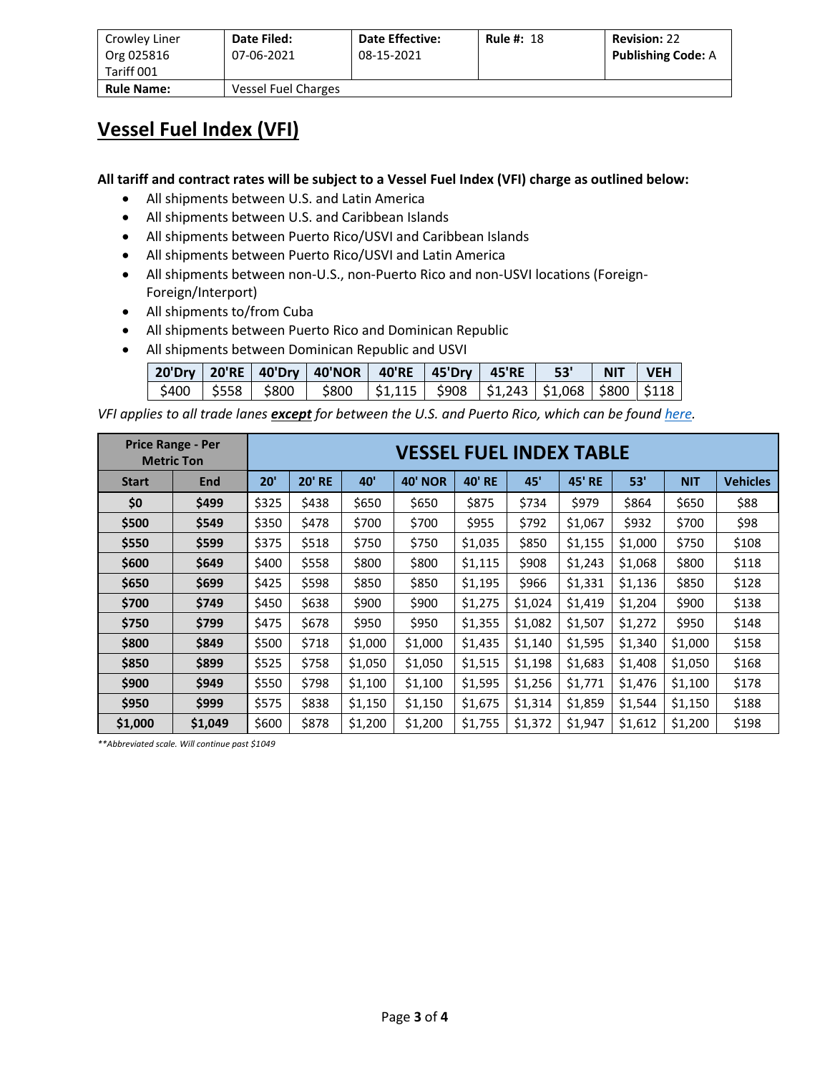| Crowley Liner<br>Org 025816<br>Tariff 001 | Date Filed:<br>07-06-2021 | <b>Date Effective:</b><br>08-15-2021 | <b>Rule #: 18</b> | <b>Revision: 22</b><br><b>Publishing Code: A</b> |
|-------------------------------------------|---------------------------|--------------------------------------|-------------------|--------------------------------------------------|
| <b>Rule Name:</b>                         | Vessel Fuel Charges       |                                      |                   |                                                  |

#### **Vessel Fuel Index (VFI)**

**All tariff and contract rates will be subject to a Vessel Fuel Index (VFI) charge as outlined below:**

- All shipments between U.S. and Latin America
- All shipments between U.S. and Caribbean Islands
- All shipments between Puerto Rico/USVI and Caribbean Islands
- All shipments between Puerto Rico/USVI and Latin America
- All shipments between non-U.S., non-Puerto Rico and non-USVI locations (Foreign-Foreign/Interport)
- All shipments to/from Cuba
- All shipments between Puerto Rico and Dominican Republic
- All shipments between Dominican Republic and USVI

|  | 20'Dry   20'RE   40'Dry   40'NOR   40'RE   45'Dry   45'RE   53'   NIT   VEH         |  |  |  |
|--|-------------------------------------------------------------------------------------|--|--|--|
|  | \$400   \$558   \$800   \$800   \$1,115   \$908   \$1,243   \$1,068   \$800   \$118 |  |  |  |

*VFI applies to all trade lanes except for between the U.S. and Puerto Rico, which can be foun[d here.](https://www.crowley.com/logistics/resources/rates-tariffs/stb/#18-1-vessel-fuel-surcharge-between-the-continental-us-and-puerto-rico)*

| <b>Price Range - Per</b><br><b>Metric Ton</b> |                         |       | <b>VESSEL FUEL INDEX TABLE</b> |         |                |               |         |               |         |            |                 |  |  |
|-----------------------------------------------|-------------------------|-------|--------------------------------|---------|----------------|---------------|---------|---------------|---------|------------|-----------------|--|--|
| <b>Start</b>                                  | End                     | 20'   | <b>20' RE</b><br>40'           |         | <b>40' NOR</b> | <b>40' RE</b> | 45'     | <b>45' RE</b> | 53'     | <b>NIT</b> | <b>Vehicles</b> |  |  |
| \$0                                           | \$499                   | \$325 | \$438                          | \$650   | \$650          | \$875         | \$734   | \$979         | \$864   | \$650      | \$88            |  |  |
| \$500                                         | \$549<br>\$350<br>\$478 |       | \$700                          | \$700   | \$955          | \$792         | \$1,067 | \$932         | \$700   | \$98       |                 |  |  |
| \$550                                         | \$599                   | \$375 | \$518<br>\$750                 |         | \$750          | \$1,035       | \$850   | \$1,155       | \$1,000 | \$750      | \$108           |  |  |
| \$600                                         | \$649                   | \$400 | \$558                          | \$800   | \$800          | \$1,115       | \$908   | \$1,243       | \$1,068 | \$800      | \$118           |  |  |
| \$650                                         | \$699                   | \$425 | \$598                          | \$850   | \$850          | \$1,195       | \$966   | \$1,331       | \$1,136 | \$850      | \$128           |  |  |
| \$700                                         | \$749                   | \$450 | \$638                          | \$900   | \$900          | \$1,275       | \$1,024 | \$1,419       | \$1,204 | \$900      | \$138           |  |  |
| \$750                                         | \$799                   | \$475 | \$678                          | \$950   | \$950          | \$1,355       | \$1,082 | \$1,507       | \$1,272 | \$950      | \$148           |  |  |
| \$800                                         | \$849                   | \$500 | \$718                          | \$1,000 | \$1,000        | \$1,435       | \$1,140 | \$1,595       | \$1,340 | \$1,000    | \$158           |  |  |
| \$850                                         | \$899                   | \$525 | \$758                          | \$1,050 | \$1,050        | \$1,515       | \$1,198 | \$1,683       | \$1,408 | \$1,050    | \$168           |  |  |
| \$900                                         | \$949                   | \$550 | \$798                          | \$1,100 | \$1,100        | \$1,595       | \$1,256 | \$1,771       | \$1,476 | \$1,100    | \$178           |  |  |
| \$950                                         | \$999                   | \$575 | \$838<br>\$1,150               |         | \$1,150        | \$1,675       | \$1,314 | \$1,859       | \$1,544 | \$1,150    | \$188           |  |  |
| \$1,000                                       | \$1,049                 | \$600 | \$878                          | \$1,200 | \$1,200        | \$1,755       | \$1,372 | \$1,947       | \$1,612 | \$1,200    | \$198           |  |  |

*\*\*Abbreviated scale. Will continue past \$1049*